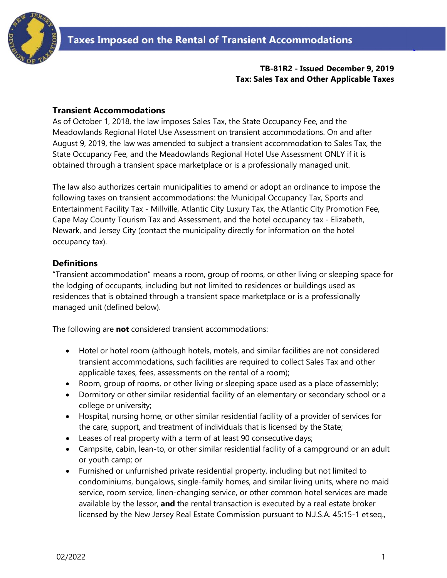

#### **TB-81R2 - Issued December 9, 2019 Tax: Sales Tax and Other Applicable Taxes**

#### **Transient Accommodations**

As of October 1, 2018, the law imposes Sales Tax, the State Occupancy Fee, and the Meadowlands Regional Hotel Use Assessment on transient accommodations. On and after August 9, 2019, the law was amended to subject a transient accommodation to Sales Tax, the State Occupancy Fee, and the Meadowlands Regional Hotel Use Assessment ONLY if it is obtained through a transient space marketplace or is a professionally managed unit.

The law also authorizes certain municipalities to amend or adopt an ordinance to impose the following taxes on transient accommodations: the Municipal Occupancy Tax, Sports and Entertainment Facility Tax - Millville, Atlantic City Luxury Tax, the Atlantic City Promotion Fee, Cape May County Tourism Tax and Assessment, and the hotel occupancy tax - Elizabeth, Newark, and Jersey City (contact the municipality directly for information on the hotel occupancy tax).

#### **Definitions**

"Transient accommodation" means a room, group of rooms, or other living or sleeping space for the lodging of occupants, including but not limited to residences or buildings used as residences that is obtained through a transient space marketplace or is a professionally managed unit (defined below).

The following are **not** considered transient accommodations:

- Hotel or hotel room (although hotels, motels, and similar facilities are not considered transient accommodations, such facilities are required to collect Sales Tax and other applicable taxes, fees, assessments on the rental of a room);
- Room, group of rooms, or other living or sleeping space used as a place of assembly;
- Dormitory or other similar residential facility of an elementary or secondary school or a college or university;
- Hospital, nursing home, or other similar residential facility of a provider of services for the care, support, and treatment of individuals that is licensed by the State;
- Leases of real property with a term of at least 90 consecutive days;
- Campsite, cabin, lean-to, or other similar residential facility of a campground or an adult or youth camp; or
- Furnished or unfurnished private residential property, including but not limited to condominiums, bungalows, single-family homes, and similar living units, where no maid service, room service, linen-changing service, or other common hotel services are made available by the lessor, **and** the rental transaction is executed by a real estate broker licensed by the New Jersey Real Estate Commission pursuant to N.J.S.A. 45:15-1 et seq.,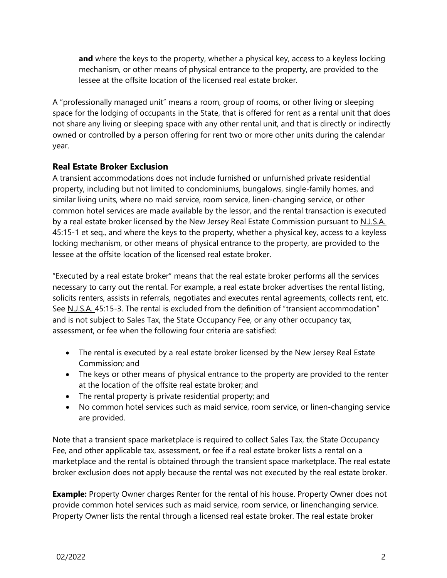**and** where the keys to the property, whether a physical key, access to a keyless locking mechanism, or other means of physical entrance to the property, are provided to the lessee at the offsite location of the licensed real estate broker.

A "professionally managed unit" means a room, group of rooms, or other living or sleeping space for the lodging of occupants in the State, that is offered for rent as a rental unit that does not share any living or sleeping space with any other rental unit, and that is directly or indirectly owned or controlled by a person offering for rent two or more other units during the calendar year.

## **Real Estate Broker Exclusion**

A transient accommodations does not include furnished or unfurnished private residential property, including but not limited to condominiums, bungalows, single-family homes, and similar living units, where no maid service, room service, linen-changing service, or other common hotel services are made available by the lessor, and the rental transaction is executed by a real estate broker licensed by the New Jersey Real Estate Commission pursuant to N.J.S.A. 45:15-1 et seq., and where the keys to the property, whether a physical key, access to a keyless locking mechanism, or other means of physical entrance to the property, are provided to the lessee at the offsite location of the licensed real estate broker.

"Executed by a real estate broker" means that the real estate broker performs all the services necessary to carry out the rental. For example, a real estate broker advertises the rental listing, solicits renters, assists in referrals, negotiates and executes rental agreements, collects rent, etc. See N.J.S.A. 45:15-3. The rental is excluded from the definition of "transient accommodation" and is not subject to Sales Tax, the State Occupancy Fee, or any other occupancy tax, assessment, or fee when the following four criteria are satisfied:

- The rental is executed by a real estate broker licensed by the New Jersey Real Estate Commission; and
- The keys or other means of physical entrance to the property are provided to the renter at the location of the offsite real estate broker; and
- The rental property is private residential property; and
- No common hotel services such as maid service, room service, or linen-changing service are provided.

Note that a transient space marketplace is required to collect Sales Tax, the State Occupancy Fee, and other applicable tax, assessment, or fee if a real estate broker lists a rental on a marketplace and the rental is obtained through the transient space marketplace. The real estate broker exclusion does not apply because the rental was not executed by the real estate broker.

**Example:** Property Owner charges Renter for the rental of his house. Property Owner does not provide common hotel services such as maid service, room service, or linenchanging service. Property Owner lists the rental through a licensed real estate broker. The real estate broker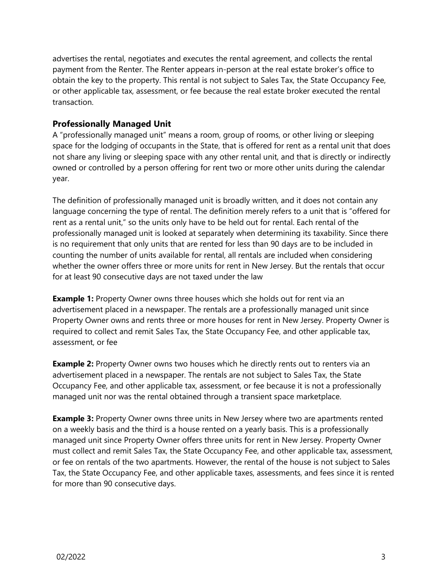advertises the rental, negotiates and executes the rental agreement, and collects the rental payment from the Renter. The Renter appears in-person at the real estate broker's office to obtain the key to the property. This rental is not subject to Sales Tax, the State Occupancy Fee, or other applicable tax, assessment, or fee because the real estate broker executed the rental transaction.

## **Professionally Managed Unit**

A "professionally managed unit" means a room, group of rooms, or other living or sleeping space for the lodging of occupants in the State, that is offered for rent as a rental unit that does not share any living or sleeping space with any other rental unit, and that is directly or indirectly owned or controlled by a person offering for rent two or more other units during the calendar year.

The definition of professionally managed unit is broadly written, and it does not contain any language concerning the type of rental. The definition merely refers to a unit that is "offered for rent as a rental unit," so the units only have to be held out for rental. Each rental of the professionally managed unit is looked at separately when determining its taxability. Since there is no requirement that only units that are rented for less than 90 days are to be included in counting the number of units available for rental, all rentals are included when considering whether the owner offers three or more units for rent in New Jersey. But the rentals that occur for at least 90 consecutive days are not taxed under the law

**Example 1:** Property Owner owns three houses which she holds out for rent via an advertisement placed in a newspaper. The rentals are a professionally managed unit since Property Owner owns and rents three or more houses for rent in New Jersey. Property Owner is required to collect and remit Sales Tax, the State Occupancy Fee, and other applicable tax, assessment, or fee

**Example 2:** Property Owner owns two houses which he directly rents out to renters via an advertisement placed in a newspaper. The rentals are not subject to Sales Tax, the State Occupancy Fee, and other applicable tax, assessment, or fee because it is not a professionally managed unit nor was the rental obtained through a transient space marketplace.

**Example 3:** Property Owner owns three units in New Jersey where two are apartments rented on a weekly basis and the third is a house rented on a yearly basis. This is a professionally managed unit since Property Owner offers three units for rent in New Jersey. Property Owner must collect and remit Sales Tax, the State Occupancy Fee, and other applicable tax, assessment, or fee on rentals of the two apartments. However, the rental of the house is not subject to Sales Tax, the State Occupancy Fee, and other applicable taxes, assessments, and fees since it is rented for more than 90 consecutive days.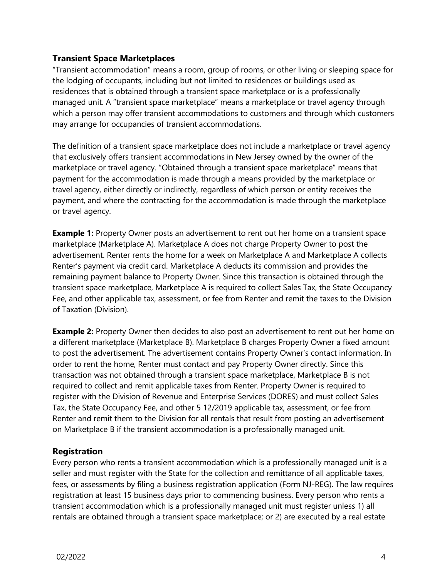## **Transient Space Marketplaces**

"Transient accommodation" means a room, group of rooms, or other living or sleeping space for the lodging of occupants, including but not limited to residences or buildings used as residences that is obtained through a transient space marketplace or is a professionally managed unit. A "transient space marketplace" means a marketplace or travel agency through which a person may offer transient accommodations to customers and through which customers may arrange for occupancies of transient accommodations.

The definition of a transient space marketplace does not include a marketplace or travel agency that exclusively offers transient accommodations in New Jersey owned by the owner of the marketplace or travel agency. "Obtained through a transient space marketplace" means that payment for the accommodation is made through a means provided by the marketplace or travel agency, either directly or indirectly, regardless of which person or entity receives the payment, and where the contracting for the accommodation is made through the marketplace or travel agency.

**Example 1:** Property Owner posts an advertisement to rent out her home on a transient space marketplace (Marketplace A). Marketplace A does not charge Property Owner to post the advertisement. Renter rents the home for a week on Marketplace A and Marketplace A collects Renter's payment via credit card. Marketplace A deducts its commission and provides the remaining payment balance to Property Owner. Since this transaction is obtained through the transient space marketplace, Marketplace A is required to collect Sales Tax, the State Occupancy Fee, and other applicable tax, assessment, or fee from Renter and remit the taxes to the Division of Taxation (Division).

**Example 2:** Property Owner then decides to also post an advertisement to rent out her home on a different marketplace (Marketplace B). Marketplace B charges Property Owner a fixed amount to post the advertisement. The advertisement contains Property Owner's contact information. In order to rent the home, Renter must contact and pay Property Owner directly. Since this transaction was not obtained through a transient space marketplace, Marketplace B is not required to collect and remit applicable taxes from Renter. Property Owner is required to register with the Division of Revenue and Enterprise Services (DORES) and must collect Sales Tax, the State Occupancy Fee, and other 5 12/2019 applicable tax, assessment, or fee from Renter and remit them to the Division for all rentals that result from posting an advertisement on Marketplace B if the transient accommodation is a professionally managed unit.

### **Registration**

Every person who rents a transient accommodation which is a professionally managed unit is a seller and must register with the State for the collection and remittance of all applicable taxes, fees, or assessments by filing a business registration application (Form NJ-REG). The law requires registration at least 15 business days prior to commencing business. Every person who rents a transient accommodation which is a professionally managed unit must register unless 1) all rentals are obtained through a transient space marketplace; or 2) are executed by a real estate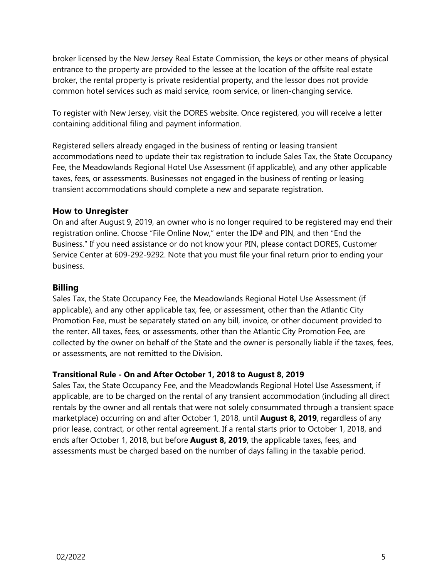broker licensed by the New Jersey Real Estate Commission, the keys or other means of physical entrance to the property are provided to the lessee at the location of the offsite real estate broker, the rental property is private residential property, and the lessor does not provide common hotel services such as maid service, room service, or linen-changing service.

To register with New Jersey, visit the DORES website. Once registered, you will receive a letter containing additional filing and payment information.

Registered sellers already engaged in the business of renting or leasing transient accommodations need to update their tax registration to include Sales Tax, the State Occupancy Fee, the Meadowlands Regional Hotel Use Assessment (if applicable), and any other applicable taxes, fees, or assessments. Businesses not engaged in the business of renting or leasing transient accommodations should complete a new and separate registration.

### **How to Unregister**

On and after August 9, 2019, an owner who is no longer required to be registered may end their registration online. Choose "File Online Now," enter the ID# and PIN, and then "End the Business." If you need assistance or do not know your PIN, please contact DORES, Customer Service Center at 609-292-9292. Note that you must file your final return prior to ending your business.

### **Billing**

Sales Tax, the State Occupancy Fee, the Meadowlands Regional Hotel Use Assessment (if applicable), and any other applicable tax, fee, or assessment, other than the Atlantic City Promotion Fee, must be separately stated on any bill, invoice, or other document provided to the renter. All taxes, fees, or assessments, other than the Atlantic City Promotion Fee, are collected by the owner on behalf of the State and the owner is personally liable if the taxes, fees, or assessments, are not remitted to the Division.

### **Transitional Rule - On and After October 1, 2018 to August 8, 2019**

Sales Tax, the State Occupancy Fee, and the Meadowlands Regional Hotel Use Assessment, if applicable, are to be charged on the rental of any transient accommodation (including all direct rentals by the owner and all rentals that were not solely consummated through a transient space marketplace) occurring on and after October 1, 2018, until **August 8, 2019**, regardless of any prior lease, contract, or other rental agreement. If a rental starts prior to October 1, 2018, and ends after October 1, 2018, but before **August 8, 2019**, the applicable taxes, fees, and assessments must be charged based on the number of days falling in the taxable period.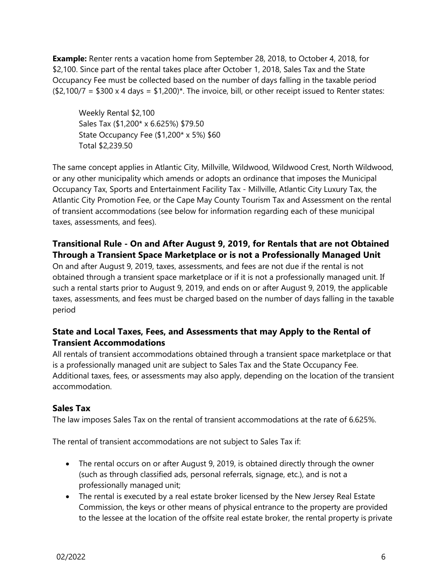**Example:** Renter rents a vacation home from September 28, 2018, to October 4, 2018, for \$2,100. Since part of the rental takes place after October 1, 2018, Sales Tax and the State Occupancy Fee must be collected based on the number of days falling in the taxable period  $($2,100/7 = $300 \times 4 \text{ days} = $1,200)$ \*. The invoice, bill, or other receipt issued to Renter states:

Weekly Rental \$2,100 Sales Tax (\$1,200\* x 6.625%) \$79.50 State Occupancy Fee (\$1,200\* x 5%) \$60 Total \$2,239.50

The same concept applies in Atlantic City, Millville, Wildwood, Wildwood Crest, North Wildwood, or any other municipality which amends or adopts an ordinance that imposes the Municipal Occupancy Tax, Sports and Entertainment Facility Tax - Millville, Atlantic City Luxury Tax, the Atlantic City Promotion Fee, or the Cape May County Tourism Tax and Assessment on the rental of transient accommodations (see below for information regarding each of these municipal taxes, assessments, and fees).

## **Transitional Rule - On and After August 9, 2019, for Rentals that are not Obtained Through a Transient Space Marketplace or is not a Professionally Managed Unit**

On and after August 9, 2019, taxes, assessments, and fees are not due if the rental is not obtained through a transient space marketplace or if it is not a professionally managed unit. If such a rental starts prior to August 9, 2019, and ends on or after August 9, 2019, the applicable taxes, assessments, and fees must be charged based on the number of days falling in the taxable period

# **State and Local Taxes, Fees, and Assessments that may Apply to the Rental of Transient Accommodations**

All rentals of transient accommodations obtained through a transient space marketplace or that is a professionally managed unit are subject to Sales Tax and the State Occupancy Fee. Additional taxes, fees, or assessments may also apply, depending on the location of the transient accommodation.

# **Sales Tax**

The law imposes Sales Tax on the rental of transient accommodations at the rate of 6.625%.

The rental of transient accommodations are not subject to Sales Tax if:

- The rental occurs on or after August 9, 2019, is obtained directly through the owner (such as through classified ads, personal referrals, signage, etc.), and is not a professionally managed unit;
- The rental is executed by a real estate broker licensed by the New Jersey Real Estate Commission, the keys or other means of physical entrance to the property are provided to the lessee at the location of the offsite real estate broker, the rental property is private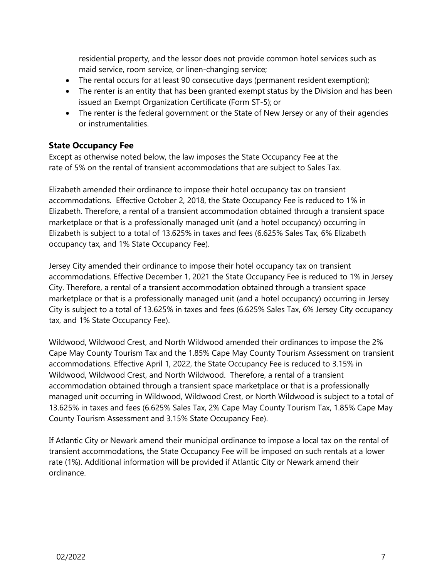residential property, and the lessor does not provide common hotel services such as maid service, room service, or linen-changing service;

- The rental occurs for at least 90 consecutive days (permanent resident exemption);
- The renter is an entity that has been granted exempt status by the Division and has been issued an Exempt Organization Certificate (Form ST-5); or
- The renter is the federal government or the State of New Jersey or any of their agencies or instrumentalities.

### **State Occupancy Fee**

Except as otherwise noted below, the law imposes the State Occupancy Fee at the rate of 5% on the rental of transient accommodations that are subject to Sales Tax.

Elizabeth amended their ordinance to impose their hotel occupancy tax on transient accommodations. Effective October 2, 2018, the State Occupancy Fee is reduced to 1% in Elizabeth. Therefore, a rental of a transient accommodation obtained through a transient space marketplace or that is a professionally managed unit (and a hotel occupancy) occurring in Elizabeth is subject to a total of 13.625% in taxes and fees (6.625% Sales Tax, 6% Elizabeth occupancy tax, and 1% State Occupancy Fee).

Jersey City amended their ordinance to impose their hotel occupancy tax on transient accommodations. Effective December 1, 2021 the State Occupancy Fee is reduced to 1% in Jersey City. Therefore, a rental of a transient accommodation obtained through a transient space marketplace or that is a professionally managed unit (and a hotel occupancy) occurring in Jersey City is subject to a total of 13.625% in taxes and fees (6.625% Sales Tax, 6% Jersey City occupancy tax, and 1% State Occupancy Fee).

Wildwood, Wildwood Crest, and North Wildwood amended their ordinances to impose the 2% Cape May County Tourism Tax and the 1.85% Cape May County Tourism Assessment on transient accommodations. Effective April 1, 2022, the State Occupancy Fee is reduced to 3.15% in Wildwood, Wildwood Crest, and North Wildwood. Therefore, a rental of a transient accommodation obtained through a transient space marketplace or that is a professionally managed unit occurring in Wildwood, Wildwood Crest, or North Wildwood is subject to a total of 13.625% in taxes and fees (6.625% Sales Tax, 2% Cape May County Tourism Tax, 1.85% Cape May County Tourism Assessment and 3.15% State Occupancy Fee).

If Atlantic City or Newark amend their municipal ordinance to impose a local tax on the rental of transient accommodations, the State Occupancy Fee will be imposed on such rentals at a lower rate (1%). Additional information will be provided if Atlantic City or Newark amend their ordinance.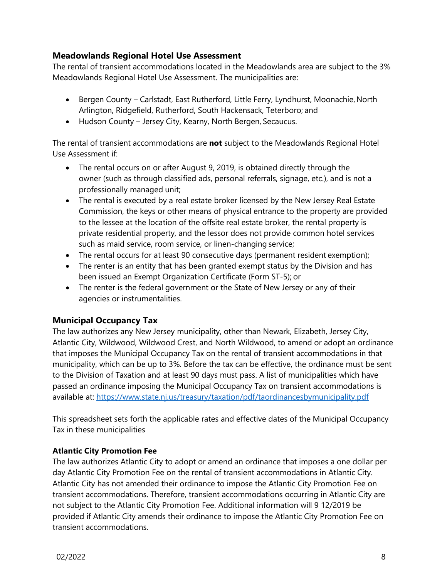## **Meadowlands Regional Hotel Use Assessment**

The rental of transient accommodations located in the Meadowlands area are subject to the 3% Meadowlands Regional Hotel Use Assessment. The municipalities are:

- Bergen County Carlstadt, East Rutherford, Little Ferry, Lyndhurst, Moonachie, North Arlington, Ridgefield, Rutherford, South Hackensack, Teterboro; and
- Hudson County Jersey City, Kearny, North Bergen, Secaucus.

The rental of transient accommodations are **not** subject to the Meadowlands Regional Hotel Use Assessment if:

- The rental occurs on or after August 9, 2019, is obtained directly through the owner (such as through classified ads, personal referrals, signage, etc.), and is not a professionally managed unit;
- The rental is executed by a real estate broker licensed by the New Jersey Real Estate Commission, the keys or other means of physical entrance to the property are provided to the lessee at the location of the offsite real estate broker, the rental property is private residential property, and the lessor does not provide common hotel services such as maid service, room service, or linen-changing service;
- The rental occurs for at least 90 consecutive days (permanent resident exemption);
- The renter is an entity that has been granted exempt status by the Division and has been issued an Exempt Organization Certificate (Form ST-5); or
- The renter is the federal government or the State of New Jersey or any of their agencies or instrumentalities.

## **Municipal Occupancy Tax**

The law authorizes any New Jersey municipality, other than Newark, Elizabeth, Jersey City, Atlantic City, Wildwood, Wildwood Crest, and North Wildwood, to amend or adopt an ordinance that imposes the Municipal Occupancy Tax on the rental of transient accommodations in that municipality, which can be up to 3%. Before the tax can be effective, the ordinance must be sent to the Division of Taxation and at least 90 days must pass. A list of municipalities which have passed an ordinance imposing the Municipal Occupancy Tax on transient accommodations is available at:<https://www.state.nj.us/treasury/taxation/pdf/taordinancesbymunicipality.pdf>

This spreadsheet sets forth the applicable rates and effective dates of the Municipal Occupancy Tax in these municipalities

### **Atlantic City Promotion Fee**

The law authorizes Atlantic City to adopt or amend an ordinance that imposes a one dollar per day Atlantic City Promotion Fee on the rental of transient accommodations in Atlantic City. Atlantic City has not amended their ordinance to impose the Atlantic City Promotion Fee on transient accommodations. Therefore, transient accommodations occurring in Atlantic City are not subject to the Atlantic City Promotion Fee. Additional information will 9 12/2019 be provided if Atlantic City amends their ordinance to impose the Atlantic City Promotion Fee on transient accommodations.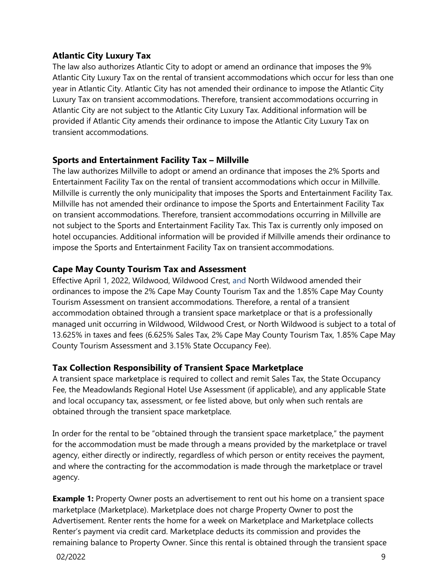## **Atlantic City Luxury Tax**

The law also authorizes Atlantic City to adopt or amend an ordinance that imposes the 9% Atlantic City Luxury Tax on the rental of transient accommodations which occur for less than one year in Atlantic City. Atlantic City has not amended their ordinance to impose the Atlantic City Luxury Tax on transient accommodations. Therefore, transient accommodations occurring in Atlantic City are not subject to the Atlantic City Luxury Tax. Additional information will be provided if Atlantic City amends their ordinance to impose the Atlantic City Luxury Tax on transient accommodations.

## **Sports and Entertainment Facility Tax – Millville**

The law authorizes Millville to adopt or amend an ordinance that imposes the 2% Sports and Entertainment Facility Tax on the rental of transient accommodations which occur in Millville. Millville is currently the only municipality that imposes the Sports and Entertainment Facility Tax. Millville has not amended their ordinance to impose the Sports and Entertainment Facility Tax on transient accommodations. Therefore, transient accommodations occurring in Millville are not subject to the Sports and Entertainment Facility Tax. This Tax is currently only imposed on hotel occupancies. Additional information will be provided if Millville amends their ordinance to impose the Sports and Entertainment Facility Tax on transient accommodations.

## **Cape May County Tourism Tax and Assessment**

Effective April 1, 2022, Wildwood, Wildwood Crest, and North Wildwood amended their ordinances to impose the 2% Cape May County Tourism Tax and the 1.85% Cape May County Tourism Assessment on transient accommodations. Therefore, a rental of a transient accommodation obtained through a transient space marketplace or that is a professionally managed unit occurring in Wildwood, Wildwood Crest, or North Wildwood is subject to a total of 13.625% in taxes and fees (6.625% Sales Tax, 2% Cape May County Tourism Tax, 1.85% Cape May County Tourism Assessment and 3.15% State Occupancy Fee).

## **Tax Collection Responsibility of Transient Space Marketplace**

A transient space marketplace is required to collect and remit Sales Tax, the State Occupancy Fee, the Meadowlands Regional Hotel Use Assessment (if applicable), and any applicable State and local occupancy tax, assessment, or fee listed above, but only when such rentals are obtained through the transient space marketplace.

In order for the rental to be "obtained through the transient space marketplace," the payment for the accommodation must be made through a means provided by the marketplace or travel agency, either directly or indirectly, regardless of which person or entity receives the payment, and where the contracting for the accommodation is made through the marketplace or travel agency.

**Example 1:** Property Owner posts an advertisement to rent out his home on a transient space marketplace (Marketplace). Marketplace does not charge Property Owner to post the Advertisement. Renter rents the home for a week on Marketplace and Marketplace collects Renter's payment via credit card. Marketplace deducts its commission and provides the remaining balance to Property Owner. Since this rental is obtained through the transient space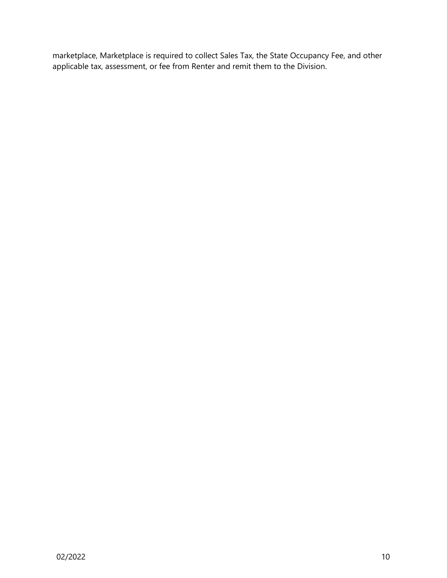marketplace, Marketplace is required to collect Sales Tax, the State Occupancy Fee, and other applicable tax, assessment, or fee from Renter and remit them to the Division.